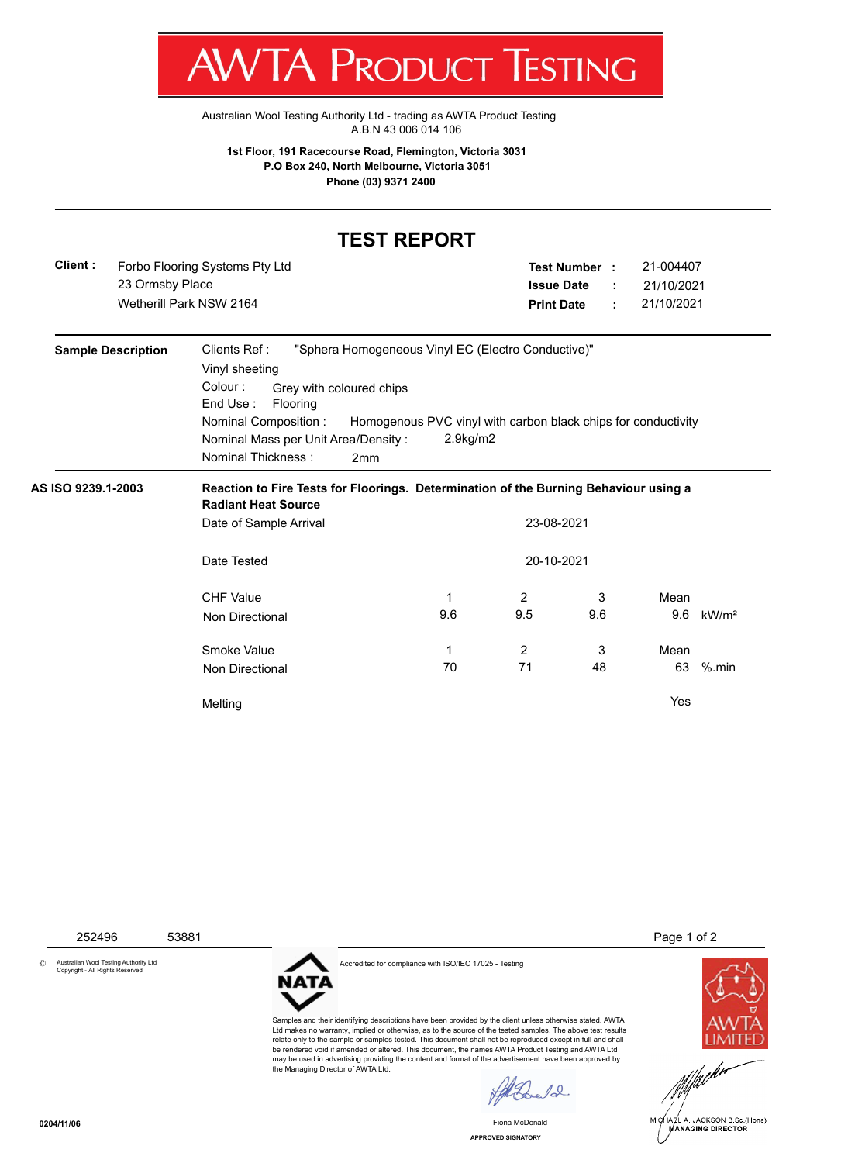

Australian Wool Testing Authority Ltd - trading as AWTA Product Testing A.B.N 43 006 014 106

**1st Floor, 191 Racecourse Road, Flemington, Victoria 3031 P.O Box 240, North Melbourne, Victoria 3051 Phone (03) 9371 2400**

## **TEST REPORT**

| Client : | Forbo Flooring Systems Pty Ltd |  |  |
|----------|--------------------------------|--|--|
|          | 23 Ormsby Place                |  |  |
|          | Wetherill Park NSW 2164        |  |  |

| Forbo Flooring Systems Pty Ltd | Test Number :     | 21-004407  |
|--------------------------------|-------------------|------------|
| 23 Ormsby Place                | lssue Date  :     | 21/10/2021 |
| Wetherill Park NSW 2164        | <b>Print Date</b> | 21/10/2021 |

| <b>Sample Description</b> | Clients Ref:<br>Vinyl sheeting<br>Colour:<br>Grey with coloured chips<br>End Use:<br><b>Flooring</b><br>Nominal Composition:<br>Nominal Mass per Unit Area/Density:<br>Nominal Thickness:<br>2 <sub>mm</sub> | "Sphera Homogeneous Vinyl EC (Electro Conductive)"<br>Homogenous PVC vinyl with carbon black chips for conductivity<br>$2.9$ kg/m $2$ |                |     |      |                   |  |
|---------------------------|--------------------------------------------------------------------------------------------------------------------------------------------------------------------------------------------------------------|---------------------------------------------------------------------------------------------------------------------------------------|----------------|-----|------|-------------------|--|
| AS ISO 9239.1-2003        | Reaction to Fire Tests for Floorings. Determination of the Burning Behaviour using a<br><b>Radiant Heat Source</b>                                                                                           |                                                                                                                                       |                |     |      |                   |  |
|                           | Date of Sample Arrival                                                                                                                                                                                       |                                                                                                                                       | 23-08-2021     |     |      |                   |  |
|                           | 20-10-2021<br>Date Tested                                                                                                                                                                                    |                                                                                                                                       |                |     |      |                   |  |
|                           | <b>CHF Value</b>                                                                                                                                                                                             | 1                                                                                                                                     | 2              | 3   | Mean |                   |  |
|                           | Non Directional                                                                                                                                                                                              | 9.6                                                                                                                                   | 9.5            | 9.6 | 9.6  | kW/m <sup>2</sup> |  |
|                           | Smoke Value                                                                                                                                                                                                  | 1                                                                                                                                     | $\overline{2}$ | 3   | Mean |                   |  |
|                           | Non Directional                                                                                                                                                                                              | 70                                                                                                                                    | 71             | 48  | 63   | $%$ .min          |  |
|                           | Melting                                                                                                                                                                                                      |                                                                                                                                       |                |     | Yes  |                   |  |



Samples and their identifying descriptions have been provided by the client unless otherwise stated. AWTA Ltd makes no warranty, implied or otherwise, as to the source of the tested samples. The above test results relate only to the sample or samples tested. This document shall not be reproduced except in full and shall be rendered void if amended or altered. This document, the names AWTA Product Testing and AWTA Ltd may be used in advertising providing the content and format of the advertisement have been approved by the Managing Director of AWTA Ltd.

 $\ell$ 

**APPROVED SIGNATORY** Fiona McDonald